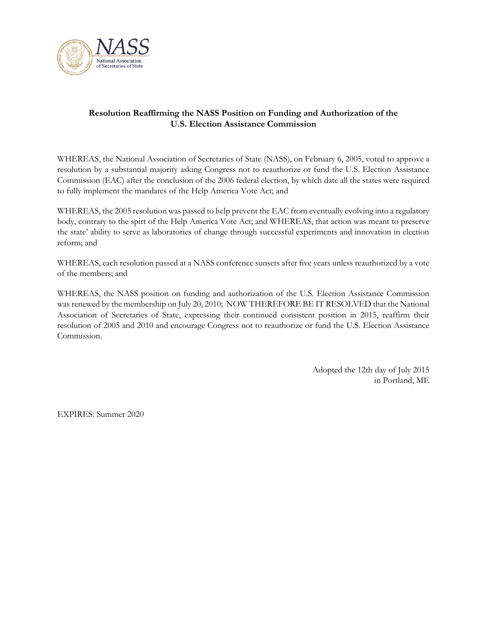

## **Resolution Reaffirming the NASS Position on Funding and Authorization of the U.S. Election Assistance Commission**

WHEREAS, the National Association of Secretaries of State (NASS), on February 6, 2005, voted to approve a resolution by a substantial majority asking Congress not to reauthorize or fund the U.S. Election Assistance Commission (EAC) after the conclusion of the 2006 federal election, by which date all the states were required to fully implement the mandates of the Help America Vote Act; and

WHEREAS, the 2005 resolution was passed to help prevent the EAC from eventually evolving into a regulatory body, contrary to the spirt of the Help America Vote Act; and WHEREAS, that action was meant to preserve the state' ability to serve as laboratories of change through successful experiments and innovation in election reform; and

WHEREAS, each resolution passed at a NASS conference sunsets after five years unless reauthorized by a vote of the members; and

WHEREAS, the NASS position on funding and authorization of the U.S. Election Assistance Commission was renewed by the membership on July 20, 2010; NOW THEREFORE BE IT RESOLVED that the National Association of Secretaries of State, expressing their continued consistent position in 2015, reaffirm their resolution of 2005 and 2010 and encourage Congress not to reauthorize or fund the U.S. Election Assistance Commission.

> Adopted the 12th day of July 2015 in Portland, ME

EXPIRES: Summer 2020